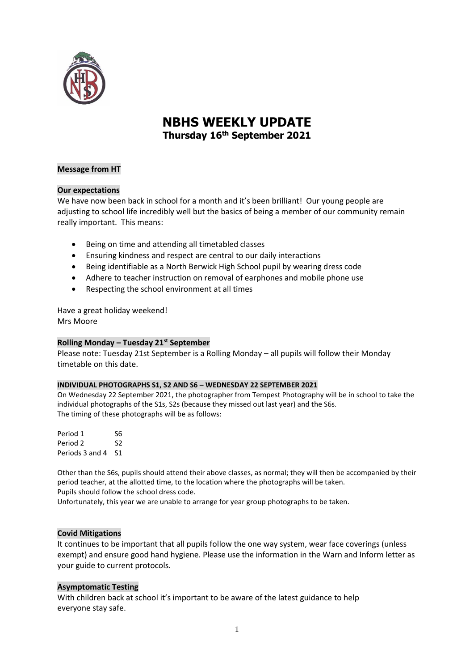

# **NBHS WEEKLY UPDATE Thursday 16 th September 2021**

## **Message from HT**

# **Our expectations**

We have now been back in school for a month and it's been brilliant! Our young people are adjusting to school life incredibly well but the basics of being a member of our community remain really important. This means:

- Being on time and attending all timetabled classes
- Ensuring kindness and respect are central to our daily interactions
- Being identifiable as a North Berwick High School pupil by wearing dress code
- Adhere to teacher instruction on removal of earphones and mobile phone use
- Respecting the school environment at all times

Have a great holiday weekend! Mrs Moore

## **Rolling Monday – Tuesday 21st September**

Please note: Tuesday 21st September is a Rolling Monday – all pupils will follow their Monday timetable on this date.

#### **INDIVIDUAL PHOTOGRAPHS S1, S2 AND S6 – WEDNESDAY 22 SEPTEMBER 2021**

On Wednesday 22 September 2021, the photographer from Tempest Photography will be in school to take the individual photographs of the S1s, S2s (because they missed out last year) and the S6s. The timing of these photographs will be as follows:

Period 1 S6 Period 2 S2 Periods 3 and 4 S1

Other than the S6s, pupils should attend their above classes, as normal; they will then be accompanied by their period teacher, at the allotted time, to the location where the photographs will be taken. Pupils should follow the school dress code.

Unfortunately, this year we are unable to arrange for year group photographs to be taken.

## **Covid Mitigations**

It continues to be important that all pupils follow the one way system, wear face coverings (unless exempt) and ensure good hand hygiene. Please use the information in the Warn and Inform letter as your guide to current protocols.

## **Asymptomatic Testing**

With children back at school it's important to be aware of the latest guidance to help everyone stay safe.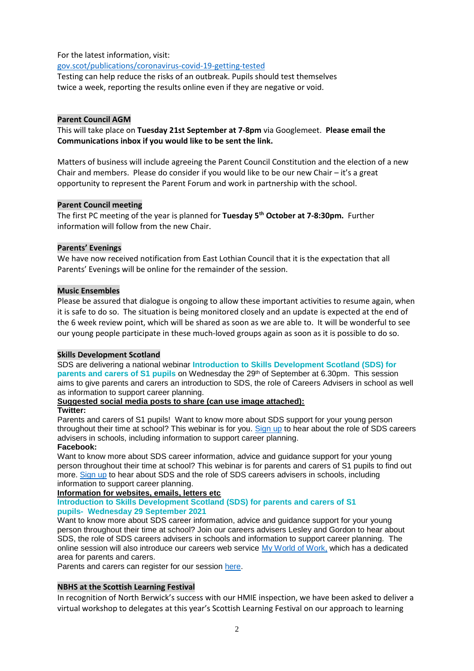## For the latest information, visit:

<gov.scot/publications/coronavirus-covid-19-getting-tested>

Testing can help reduce the risks of an outbreak. Pupils should test themselves twice a week, reporting the results online even if they are negative or void.

#### **Parent Council AGM**

This will take place on **Tuesday 21st September at 7-8pm** via Googlemeet. **Please email the Communications inbox if you would like to be sent the link.**

Matters of business will include agreeing the Parent Council Constitution and the election of a new Chair and members. Please do consider if you would like to be our new Chair – it's a great opportunity to represent the Parent Forum and work in partnership with the school.

#### **Parent Council meeting**

The first PC meeting of the year is planned for **Tuesday 5th October at 7-8:30pm.** Further information will follow from the new Chair.

#### **Parents' Evenings**

We have now received notification from East Lothian Council that it is the expectation that all Parents' Evenings will be online for the remainder of the session.

#### **Music Ensembles**

Please be assured that dialogue is ongoing to allow these important activities to resume again, when it is safe to do so. The situation is being monitored closely and an update is expected at the end of the 6 week review point, which will be shared as soon as we are able to. It will be wonderful to see our young people participate in these much-loved groups again as soon as it is possible to do so.

## **Skills Development Scotland**

SDS are delivering a national webinar **Introduction to Skills Development Scotland (SDS) for parents and carers of S1 pupils** on Wednesday the 29<sup>th</sup> of September at 6.30pm. This session aims to give parents and carers an introduction to SDS, the role of Careers Advisers in school as well as information to support career planning.

## **Suggested social media posts to share (can use image attached):**

#### **Twitter:**

Parents and carers of S1 pupils! Want to know more about SDS support for your young person throughout their time at school? This webinar is for you. [Sign up](https://eur01.safelinks.protection.outlook.com/?url=https%3A%2F%2Fs1parentsandcarers.eventbrite.co.uk%2F&data=04%7C01%7Cwendy.malcolm%40sds.co.uk%7Cdeb4c77f012b424ec95608d97833ef82%7C33ca6d475e4f477484f1696cbb508cbe%7C0%7C0%7C637672986714752263%7CUnknown%7CTWFpbGZsb3d8eyJWIjoiMC4wLjAwMDAiLCJQIjoiV2luMzIiLCJBTiI6Ik1haWwiLCJXVCI6Mn0%3D%7C1000&sdata=jp4ogAG9oSIkyk6t7pcdC44aDfaAb%2FrUEfVX7S9fiRk%3D&reserved=0) to hear about the role of SDS careers advisers in schools, including information to support career planning.

#### **Facebook:**

Want to know more about SDS career information, advice and guidance support for your young person throughout their time at school? This webinar is for parents and carers of S1 pupils to find out more. [Sign up](https://eur01.safelinks.protection.outlook.com/?url=https%3A%2F%2Fs1parentsandcarers.eventbrite.co.uk%2F&data=04%7C01%7Cwendy.malcolm%40sds.co.uk%7Cdeb4c77f012b424ec95608d97833ef82%7C33ca6d475e4f477484f1696cbb508cbe%7C0%7C0%7C637672986714752263%7CUnknown%7CTWFpbGZsb3d8eyJWIjoiMC4wLjAwMDAiLCJQIjoiV2luMzIiLCJBTiI6Ik1haWwiLCJXVCI6Mn0%3D%7C1000&sdata=jp4ogAG9oSIkyk6t7pcdC44aDfaAb%2FrUEfVX7S9fiRk%3D&reserved=0) to hear about SDS and the role of SDS careers advisers in schools, including information to support career planning.

# **Information for websites, emails, letters etc**

#### **Introduction to Skills Development Scotland (SDS) for parents and carers of S1 pupils- Wednesday 29 September 2021**

Want to know more about SDS career information, advice and guidance support for your young person throughout their time at school? Join our careers advisers Lesley and Gordon to hear about SDS, the role of SDS careers advisers in schools and information to support career planning. The online session will also introduce our careers web service [My World of Work,](https://eur01.safelinks.protection.outlook.com/?url=https%3A%2F%2Fwww.myworldofwork.co.uk%2F&data=04%7C01%7Cwendy.malcolm%40sds.co.uk%7Cdeb4c77f012b424ec95608d97833ef82%7C33ca6d475e4f477484f1696cbb508cbe%7C0%7C0%7C637672986714752263%7CUnknown%7CTWFpbGZsb3d8eyJWIjoiMC4wLjAwMDAiLCJQIjoiV2luMzIiLCJBTiI6Ik1haWwiLCJXVCI6Mn0%3D%7C1000&sdata=ghlVRq111wqXvciQeQ9jDbCShleW2UOGUr%2FMJ%2Bxtwfw%3D&reserved=0) which has a dedicated area for parents and carers.

Parents and carers can register for our session [here.](https://eur01.safelinks.protection.outlook.com/?url=https%3A%2F%2Fs1parentsandcarers.eventbrite.co.uk%2F&data=04%7C01%7Cwendy.malcolm%40sds.co.uk%7Cdeb4c77f012b424ec95608d97833ef82%7C33ca6d475e4f477484f1696cbb508cbe%7C0%7C0%7C637672986714762226%7CUnknown%7CTWFpbGZsb3d8eyJWIjoiMC4wLjAwMDAiLCJQIjoiV2luMzIiLCJBTiI6Ik1haWwiLCJXVCI6Mn0%3D%7C1000&sdata=Pv5MJmWQpsxaw%2FU5jzGVzOS9aKMTNx7JnzTlaYo4MhU%3D&reserved=0)

#### **NBHS at the Scottish Learning Festival**

In recognition of North Berwick's success with our HMIE inspection, we have been asked to deliver a virtual workshop to delegates at this year's Scottish Learning Festival on our approach to learning